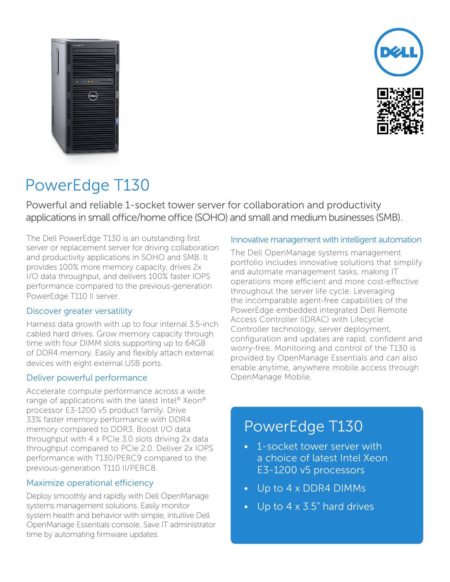



# PowerEdge T130

Powerful and reliable 1-socket tower server for collaboration and productivity applications in small office/home office (SOHO) and small and medium businesses (SMB).

The Dell PowerEdge T130 is an outstanding first server or replacement server for driving collaboration and productivity applications in SOHO and SMB. It provides 100% more memory capacity, drives 2x I/O data throughput, and delivers 100% faster IOPS performance compared to the previous-generation PowerEdge T110 II server.

#### Discover greater versatility

Harness data growth with up to four internal 3.5-inch cabled hard drives. Grow memory capacity through time with four DIMM slots supporting up to 64GB of DDR4 memory. Easily and flexibly attach external devices with eight external USB ports.

#### Deliver powerful performance

Accelerate compute performance across a wide range of applications with the latest Intel® Xeon® processor E3-1200 v5 product family. Drive 33% faster memory performance with DDR4 memory compared to DDR3. Boost I/O data throughput with 4 x PCIe 3.0 slots driving 2x data throughput compared to PCIe 2.0. Deliver 2x IOPS performance with T130/PERC9 compared to the previous-generation T110 II/PERC8.

#### Maximize operational efficiency

Deploy smoothly and rapidly with Dell OpenManage systems management solutions. Easily monitor system health and behavior with simple, intuitive Dell OpenManage Essentials console. Save IT administrator time by automating firmware updates.

#### Innovative management with intelligent automation

The Dell OpenManage systems management portfolio includes innovative solutions that simplify and automate management tasks, making IT operations more efficient and more cost-effective throughout the server life cycle. Leveraging the incomparable agent-free capabilities of the PowerEdge embedded integrated Dell Remote Access Controller (iDRAC) with Lifecycle Controller technology, server deployment, configuration and updates are rapid, confident and worry-free. Monitoring and control of the T130 is provided by OpenManage Essentials and can also enable anytime, anywhere mobile access through OpenManage Mobile.

## PowerEdge T130

- 1-socket tower server with a choice of latest Intel Xeon E3-1200 v5 processors
- Up to 4 x DDR4 DIMMs
- Up to 4 x 3.5" hard drives